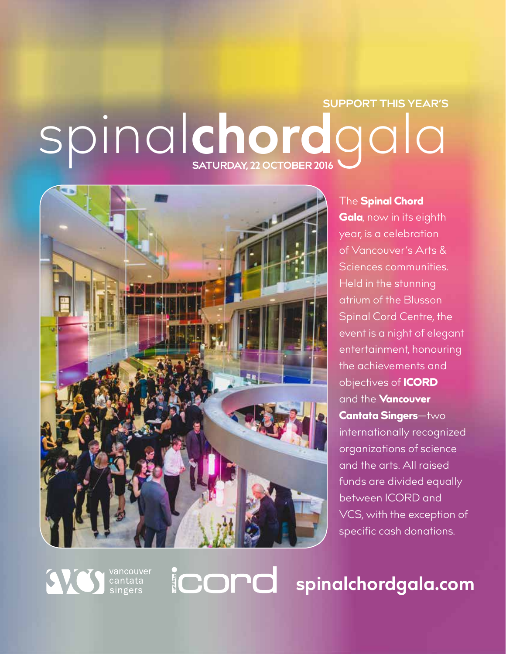## Spinalchordgala **SUPPORT THIS YEAR'S**



vancouver<br>cantata<br>singers

#### The **Spinal Chord**

Gala, now in its eighth year, is a celebration of Vancouver's Arts & Sciences communities. Held in the stunning atrium of the Blusson Spinal Cord Centre, the event is a night of elegant entertainment, honouring the achievements and objectives of ICORD and the **Vancouver** Cantata Singers—two internationally recognized organizations of science and the arts. All raised funds are divided equally between ICORD and VCS, with the exception of specific cash donations.

**spinalchordgala.com**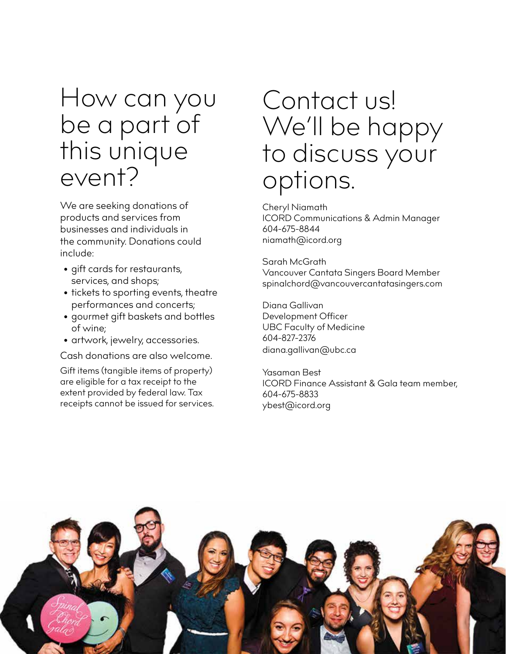### How can you be a part of this unique event?

We are seeking donations of products and services from businesses and individuals in the community. Donations could include:

- gift cards for restaurants, services, and shops;
- tickets to sporting events, theatre performances and concerts;
- gourmet gift baskets and bottles of wine;
- artwork, jewelry, accessories.

Cash donations are also welcome.

Gift items (tangible items of property) are eligible for a tax receipt to the extent provided by federal law. Tax receipts cannot be issued for services.

### Contact us! We'll be happy to discuss your options.

Cheryl Niamath ICORD Communications & Admin Manager 604-675-8844 niamath@icord.org

Sarah McGrath Vancouver Cantata Singers Board Member spinalchord@vancouvercantatasingers.com

Diana Gallivan Development Officer UBC Faculty of Medicine 604-827-2376 diana.gallivan@ubc.ca

Yasaman Best ICORD Finance Assistant & Gala team member, 604-675-8833 ybest@icord.org

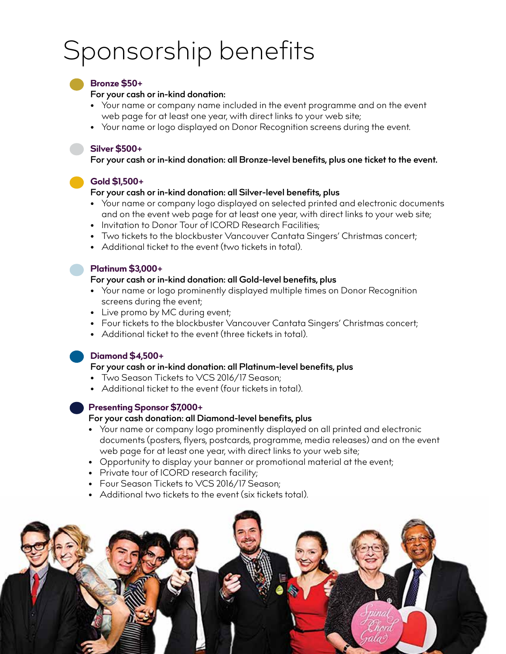## Sponsorship benefits

#### **Bronze \$50+**

#### **For your cash or in-kind donation:**

- Your name or company name included in the event programme and on the event web page for at least one year, with direct links to your web site;
- Your name or logo displayed on Donor Recognition screens during the event.

#### **Silver \$500+**

**For your cash or in-kind donation: all Bronze-level benefits, plus one ticket to the event.** 

**Gold \$1,500+** 

#### **For your cash or in-kind donation: all Silver-level benefits, plus**

- Your name or company logo displayed on selected printed and electronic documents and on the event web page for at least one year, with direct links to your web site;
- Invitation to Donor Tour of ICORD Research Facilities;
- Two tickets to the blockbuster Vancouver Cantata Singers' Christmas concert;
- Additional ticket to the event (two tickets in total).

#### **Platinum \$3,000+**

#### **For your cash or in-kind donation: all Gold-level benefits, plus**

- Your name or logo prominently displayed multiple times on Donor Recognition screens during the event;
- Live promo by MC during event;
- Four tickets to the blockbuster Vancouver Cantata Singers' Christmas concert;
- Additional ticket to the event (three tickets in total).

#### **Diamond \$4,500+**

#### **For your cash or in-kind donation: all Platinum-level benefits, plus**

- Two Season Tickets to VCS 2016/17 Season;
- Additional ticket to the event (four tickets in total).

#### **Presenting Sponsor \$7,000+**

#### **For your cash donation: all Diamond-level benefits, plus**

- Your name or company logo prominently displayed on all printed and electronic documents (posters, flyers, postcards, programme, media releases) and on the event web page for at least one year, with direct links to your web site;
- Opportunity to display your banner or promotional material at the event;
- Private tour of ICORD research facility;
- Four Season Tickets to VCS 2016/17 Season;
- Additional two tickets to the event (six tickets total).